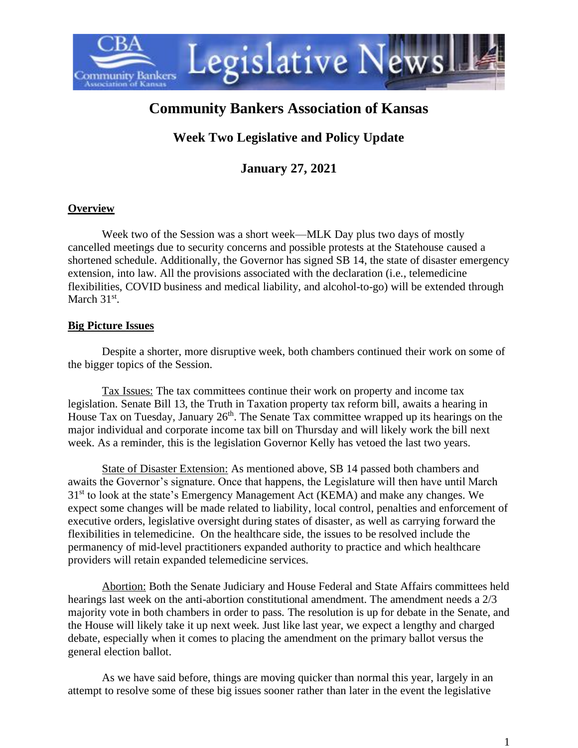

# **Community Bankers Association of Kansas**

# **Week Two Legislative and Policy Update**

**January 27, 2021**

#### **Overview**

Week two of the Session was a short week—MLK Day plus two days of mostly cancelled meetings due to security concerns and possible protests at the Statehouse caused a shortened schedule. Additionally, the Governor has signed SB 14, the state of disaster emergency extension, into law. All the provisions associated with the declaration (i.e., telemedicine flexibilities, COVID business and medical liability, and alcohol-to-go) will be extended through March  $31<sup>st</sup>$ .

#### **Big Picture Issues**

Despite a shorter, more disruptive week, both chambers continued their work on some of the bigger topics of the Session.

Tax Issues: The tax committees continue their work on property and income tax legislation. Senate Bill 13, the Truth in Taxation property tax reform bill, awaits a hearing in House Tax on Tuesday, January  $26<sup>th</sup>$ . The Senate Tax committee wrapped up its hearings on the major individual and corporate income tax bill on Thursday and will likely work the bill next week. As a reminder, this is the legislation Governor Kelly has vetoed the last two years.

State of Disaster Extension: As mentioned above, SB 14 passed both chambers and awaits the Governor's signature. Once that happens, the Legislature will then have until March 31<sup>st</sup> to look at the state's Emergency Management Act (KEMA) and make any changes. We expect some changes will be made related to liability, local control, penalties and enforcement of executive orders, legislative oversight during states of disaster, as well as carrying forward the flexibilities in telemedicine. On the healthcare side, the issues to be resolved include the permanency of mid-level practitioners expanded authority to practice and which healthcare providers will retain expanded telemedicine services.

Abortion: Both the Senate Judiciary and House Federal and State Affairs committees held hearings last week on the anti-abortion constitutional amendment. The amendment needs a 2/3 majority vote in both chambers in order to pass. The resolution is up for debate in the Senate, and the House will likely take it up next week. Just like last year, we expect a lengthy and charged debate, especially when it comes to placing the amendment on the primary ballot versus the general election ballot.

As we have said before, things are moving quicker than normal this year, largely in an attempt to resolve some of these big issues sooner rather than later in the event the legislative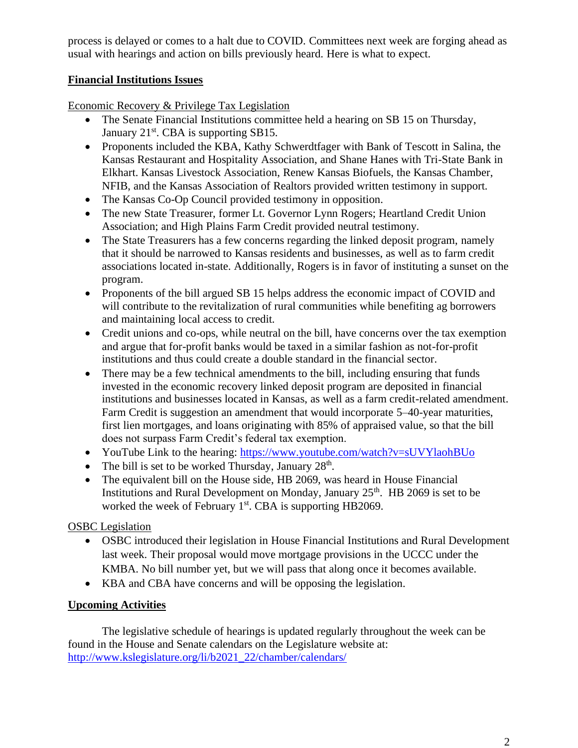process is delayed or comes to a halt due to COVID. Committees next week are forging ahead as usual with hearings and action on bills previously heard. Here is what to expect.

### **Financial Institutions Issues**

Economic Recovery & Privilege Tax Legislation

- The Senate Financial Institutions committee held a hearing on SB 15 on Thursday, January 21<sup>st</sup>. CBA is supporting SB15.
- Proponents included the KBA, Kathy Schwerdtfager with Bank of Tescott in Salina, the Kansas Restaurant and Hospitality Association, and Shane Hanes with Tri-State Bank in Elkhart. Kansas Livestock Association, Renew Kansas Biofuels, the Kansas Chamber, NFIB, and the Kansas Association of Realtors provided written testimony in support.
- The Kansas Co-Op Council provided testimony in opposition.
- The new State Treasurer, former Lt. Governor Lynn Rogers; Heartland Credit Union Association; and High Plains Farm Credit provided neutral testimony.
- The State Treasurers has a few concerns regarding the linked deposit program, namely that it should be narrowed to Kansas residents and businesses, as well as to farm credit associations located in-state. Additionally, Rogers is in favor of instituting a sunset on the program.
- Proponents of the bill argued SB 15 helps address the economic impact of COVID and will contribute to the revitalization of rural communities while benefiting ag borrowers and maintaining local access to credit.
- Credit unions and co-ops, while neutral on the bill, have concerns over the tax exemption and argue that for-profit banks would be taxed in a similar fashion as not-for-profit institutions and thus could create a double standard in the financial sector.
- There may be a few technical amendments to the bill, including ensuring that funds invested in the economic recovery linked deposit program are deposited in financial institutions and businesses located in Kansas, as well as a farm credit-related amendment. Farm Credit is suggestion an amendment that would incorporate 5–40-year maturities, first lien mortgages, and loans originating with 85% of appraised value, so that the bill does not surpass Farm Credit's federal tax exemption.
- YouTube Link to the hearing:<https://www.youtube.com/watch?v=sUVYlaohBUo>
- The bill is set to be worked Thursday, January  $28<sup>th</sup>$ .
- The equivalent bill on the House side, HB 2069, was heard in House Financial Institutions and Rural Development on Monday, January  $25<sup>th</sup>$ . HB 2069 is set to be worked the week of February 1<sup>st</sup>. CBA is supporting HB2069.

OSBC Legislation

- OSBC introduced their legislation in House Financial Institutions and Rural Development last week. Their proposal would move mortgage provisions in the UCCC under the KMBA. No bill number yet, but we will pass that along once it becomes available.
- KBA and CBA have concerns and will be opposing the legislation.

## **Upcoming Activities**

The legislative schedule of hearings is updated regularly throughout the week can be found in the House and Senate calendars on the Legislature website at: [http://www.kslegislature.org/li/b2021\\_22/chamber/calendars/](http://www.kslegislature.org/li/b2021_22/chamber/calendars/)